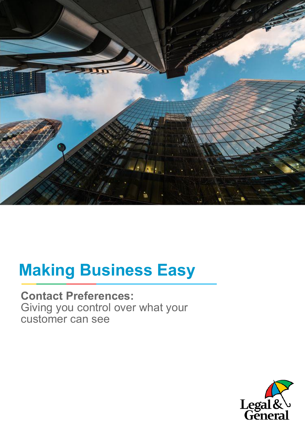

# **Making Business Easy**

**Contact Preferences:** Giving you control over what your customer can see

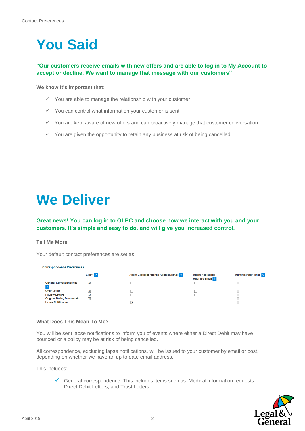## **You Said**

### **"Our customers receive emails with new offers and are able to log in to My Account to accept or decline. We want to manage that message with our customers"**

**We know it's important that:**

- $\checkmark$  You are able to manage the relationship with your customer
- $\checkmark$  You can control what information your customer is sent
- $\checkmark$  You are kept aware of new offers and can proactively manage that customer conversation
- $\checkmark$  You are given the opportunity to retain any business at risk of being cancelled

### **We Deliver**

### **Great news! You can log in to OLPC and choose how we interact with you and your customers. It's simple and easy to do, and will give you increased control.**

#### **Tell Me More**

Your default contact preferences are set as:

#### **Correspondence Preferences** Client ? **Agent Registered Administrator Email** ? **Agent Correspondence Address/Email ?** Address/Email ? **General Correspondence**  $\Box$  $\Box$  $\overline{\phantom{a}}$  $\blacktriangledown$ ?<br>Offer Letter  $\overline{\mathbf{v}}$  $\Box$  $\begin{array}{c} \square \\ \square \end{array}$  $\Box$ **Review Letters**  $\overline{\checkmark}$  $\overline{\phantom{a}}$ **Original Policy Documents**  $\overline{v}$ Ī  $\overline{\mathbf{v}}$ Lapse Notification

#### **What Does This Mean To Me?**

You will be sent lapse notifications to inform you of events where either a Direct Debit may have bounced or a policy may be at risk of being cancelled.

All correspondence, excluding lapse notifications, will be issued to your customer by email or post, depending on whether we have an up to date email address.

This includes:

 General correspondence: This includes items such as: Medical information requests, Direct Debit Letters, and Trust Letters.

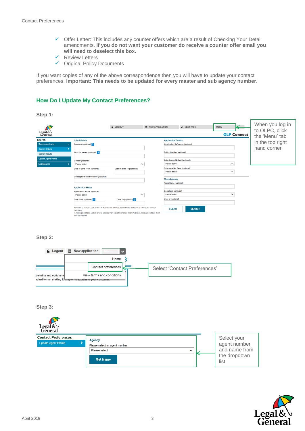- $\checkmark$  Offer Letter: This includes any counter offers which are a result of Checking Your Detail amendments. **If you do not want your customer do receive a counter offer email you will need to deselect this box.**
- Review Letters
- Original Policy Documents

If you want copies of any of the above correspondence then you will have to update your contact preferences. **Important: This needs to be updated for every master and sub agency number.**

#### **How Do I Update My Contact Preferences?**

**Step 1:**

| Legal&\<br>General          |  |                                                                                                                                                                                                                                   | A LOGOUT                    | 圍<br><b>NEW APPLICATION</b> |                                                | $\vee$ NEXT TASK | <b>MENU</b><br><b>OLP Connect</b> | $\leftarrow$ | When you log in<br>to OLPC, click<br>the 'Menu' tab |
|-----------------------------|--|-----------------------------------------------------------------------------------------------------------------------------------------------------------------------------------------------------------------------------------|-----------------------------|-----------------------------|------------------------------------------------|------------------|-----------------------------------|--------------|-----------------------------------------------------|
| <b>Search</b>               |  | <b>Client Details</b>                                                                                                                                                                                                             |                             |                             | <b>Application Details</b>                     |                  |                                   |              |                                                     |
| <b>Search Application</b>   |  | Surname (optional) 2                                                                                                                                                                                                              |                             |                             | <b>Application Reference (optional)</b>        |                  |                                   |              | in the top right                                    |
| <b>Search Criteria</b>      |  |                                                                                                                                                                                                                                   |                             |                             |                                                |                  |                                   |              | hand corner                                         |
| <b>Search Results</b>       |  | First Forename (optional) ?                                                                                                                                                                                                       |                             |                             | <b>Policy Number (optional)</b>                |                  |                                   |              |                                                     |
| <b>Update Agent Profile</b> |  | <b>Gender (optional)</b>                                                                                                                                                                                                          |                             |                             | <b>Submission Method (optional)</b>            |                  |                                   |              |                                                     |
| Maintenance                 |  | Please select                                                                                                                                                                                                                     | $\checkmark$                |                             | Please select                                  |                  | $\checkmark$                      |              |                                                     |
|                             |  | Date of Birth From (optional)                                                                                                                                                                                                     | Date of Birth To (optional) |                             | Reference No. Type (optional)<br>Please select |                  | $\checkmark$                      |              |                                                     |
|                             |  | Correspondence Postcode (optional)                                                                                                                                                                                                |                             |                             | <b>Miscellaneous</b>                           |                  |                                   |              |                                                     |
|                             |  |                                                                                                                                                                                                                                   |                             |                             | <b>Team Name (optional)</b>                    |                  |                                   |              |                                                     |
|                             |  | <b>Application Status</b>                                                                                                                                                                                                         |                             |                             |                                                |                  |                                   |              |                                                     |
|                             |  | <b>Application Status (optional)</b>                                                                                                                                                                                              |                             |                             | <b>Complaint (optional)</b>                    |                  |                                   |              |                                                     |
|                             |  | Please select                                                                                                                                                                                                                     | $\checkmark$                |                             | Please select                                  |                  | $\checkmark$                      |              |                                                     |
|                             |  | Date From (optional) ?                                                                                                                                                                                                            | Date To (optional) 2        |                             | <b>User Id (optional)</b>                      |                  |                                   |              |                                                     |
|                             |  | Forename, Gender, DoB From/To, Submission Method, Team Name and User ID cannot be used on<br>their own<br>If Application Status Date From/To entered then one of Surname, Team Name or Application Status must<br>hereine ed ozle |                             |                             | <b>CLEAR</b>                                   | <b>SEARCH</b>    |                                   |              |                                                     |

**Step 2:**



**Step 3:** 

| Legal&                                                    |                                                                                                    |                                                                      |
|-----------------------------------------------------------|----------------------------------------------------------------------------------------------------|----------------------------------------------------------------------|
| <b>Contact Preferences</b><br><b>Update Agent Profile</b> | <b>Agency</b><br>Please select an agent number<br>Please select<br>$\checkmark$<br><b>Get Name</b> | Select your<br>agent number<br>and name from<br>the dropdown<br>list |